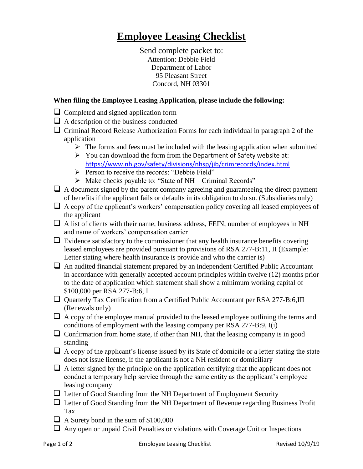## **Employee Leasing Checklist**

Send complete packet to: Attention: Debbie Field Department of Labor 95 Pleasant Street Concord, NH 03301

## **When filing the Employee Leasing Application, please include the following:**

- $\Box$  Completed and signed application form
- A description of the business conducted
- $\Box$  Criminal Record Release Authorization Forms for each individual in paragraph 2 of the application
	- $\triangleright$  The forms and fees must be included with the leasing application when submitted
	- $\triangleright$  You can download the form from the Department of Safety website at: <https://www.nh.gov/safety/divisions/nhsp/jib/crimrecords/index.html>
	- Person to receive the records: "Debbie Field"
	- $\triangleright$  Make checks payable to: "State of NH Criminal Records"
- $\Box$  A document signed by the parent company agreeing and guaranteeing the direct payment of benefits if the applicant fails or defaults in its obligation to do so. (Subsidiaries only)
- $\Box$  A copy of the applicant's workers' compensation policy covering all leased employees of the applicant
- $\Box$  A list of clients with their name, business address, FEIN, number of employees in NH and name of workers' compensation carrier
- $\Box$  Evidence satisfactory to the commissioner that any health insurance benefits covering leased employees are provided pursuant to provisions of RSA 277-B:11, II (Example: Letter stating where health insurance is provide and who the carrier is)
- $\Box$  An audited financial statement prepared by an independent Certified Public Accountant in accordance with generally accepted account principles within twelve (12) months prior to the date of application which statement shall show a minimum working capital of \$100,000 per RSA 277-B:6, I
- Quarterly Tax Certification from a Certified Public Accountant per RSA 277-B:6,III (Renewals only)
- $\Box$  A copy of the employee manual provided to the leased employee outlining the terms and conditions of employment with the leasing company per RSA 277-B:9, I(i)
- $\Box$  Confirmation from home state, if other than NH, that the leasing company is in good standing
- $\Box$  A copy of the applicant's license issued by its State of domicile or a letter stating the state does not issue license, if the applicant is not a NH resident or domiciliary
- $\Box$  A letter signed by the principle on the application certifying that the applicant does not conduct a temporary help service through the same entity as the applicant's employee leasing company
- Letter of Good Standing from the NH Department of Employment Security
- $\Box$  Letter of Good Standing from the NH Department of Revenue regarding Business Profit Tax
- $\Box$  A Surety bond in the sum of \$100,000
- $\Box$  Any open or unpaid Civil Penalties or violations with Coverage Unit or Inspections